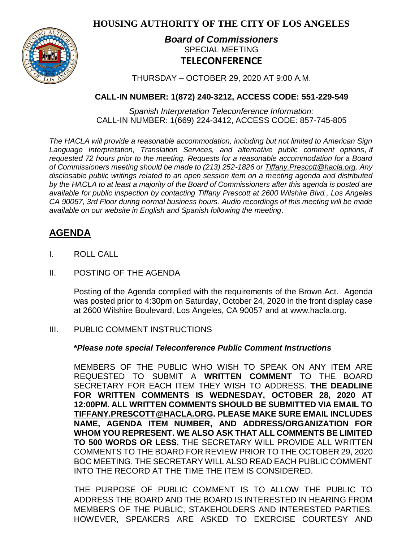**HOUSING AUTHORITY OF THE CITY OF LOS ANGELES**



# *Board of Commissioners* SPECIAL MEETING **TELECONFERENCE**

THURSDAY – OCTOBER 29, 2020 AT 9:00 A.M.

## **CALL-IN NUMBER: 1(872) 240-3212, ACCESS CODE: 551-229-549**

*Spanish Interpretation Teleconference Information:* CALL-IN NUMBER: 1(669) 224-3412, ACCESS CODE: 857-745-805

*The HACLA will provide a reasonable accommodation, including but not limited to American Sign Language Interpretation, Translation Services, and alternative public comment options, if requested 72 hours prior to the meeting. Requests for a reasonable accommodation for a Board of Commissioners meeting should be made to (213) 252-1826 or Tiffany.Prescott@hacla.org. Any disclosable public writings related to an open session item on a meeting agenda and distributed by the HACLA to at least a majority of the Board of Commissioners after this agenda is posted are available for public inspection by contacting Tiffany Prescott at 2600 Wilshire Blvd., Los Angeles CA 90057, 3rd Floor during normal business hours. Audio recordings of this meeting will be made available on our website in English and Spanish following the meeting.*

# **AGENDA**

- I. ROLL CALL
- II. POSTING OF THE AGENDA

Posting of the Agenda complied with the requirements of the Brown Act. Agenda was posted prior to 4:30pm on Saturday, October 24, 2020 in the front display case at 2600 Wilshire Boulevard, Los Angeles, CA 90057 and at [www.hacla.org.](http://www.hacla.org/)

## III. PUBLIC COMMENT INSTRUCTIONS

**\****Please note special Teleconference Public Comment Instructions*

MEMBERS OF THE PUBLIC WHO WISH TO SPEAK ON ANY ITEM ARE REQUESTED TO SUBMIT A **WRITTEN COMMENT** TO THE BOARD SECRETARY FOR EACH ITEM THEY WISH TO ADDRESS. **THE DEADLINE FOR WRITTEN COMMENTS IS WEDNESDAY, OCTOBER 28, 2020 AT 12:00PM. ALL WRITTEN COMMENTS SHOULD BE SUBMITTED VIA EMAIL TO [TIFFANY.PRESCOTT@HACLA.ORG.](mailto:TIFFANY.PRESCOTT@HACLA.ORG) PLEASE MAKE SURE EMAIL INCLUDES NAME, AGENDA ITEM NUMBER, AND ADDRESS/ORGANIZATION FOR WHOM YOU REPRESENT. WE ALSO ASK THAT ALL COMMENTS BE LIMITED TO 500 WORDS OR LESS.** THE SECRETARY WILL PROVIDE ALL WRITTEN COMMENTS TO THE BOARD FOR REVIEW PRIOR TO THE OCTOBER 29, 2020 BOC MEETING. THE SECRETARY WILL ALSO READ EACH PUBLIC COMMENT INTO THE RECORD AT THE TIME THE ITEM IS CONSIDERED.

THE PURPOSE OF PUBLIC COMMENT IS TO ALLOW THE PUBLIC TO ADDRESS THE BOARD AND THE BOARD IS INTERESTED IN HEARING FROM MEMBERS OF THE PUBLIC, STAKEHOLDERS AND INTERESTED PARTIES. HOWEVER, SPEAKERS ARE ASKED TO EXERCISE COURTESY AND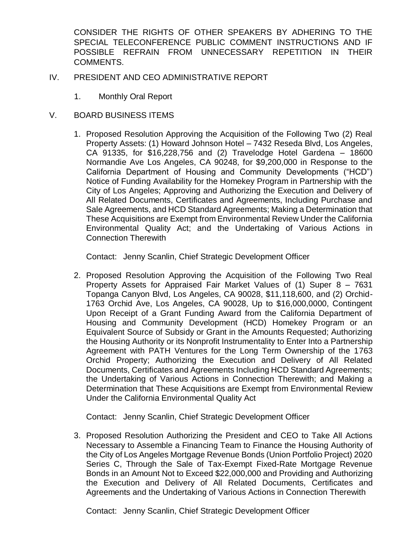CONSIDER THE RIGHTS OF OTHER SPEAKERS BY ADHERING TO THE SPECIAL TELECONFERENCE PUBLIC COMMENT INSTRUCTIONS AND IF POSSIBLE REFRAIN FROM UNNECESSARY REPETITION IN THEIR COMMENTS.

- IV. PRESIDENT AND CEO ADMINISTRATIVE REPORT
	- 1. Monthly Oral Report
- V. BOARD BUSINESS ITEMS
	- 1. Proposed Resolution Approving the Acquisition of the Following Two (2) Real Property Assets: (1) Howard Johnson Hotel – 7432 Reseda Blvd, Los Angeles, CA 91335, for \$16,228,756 and (2) Travelodge Hotel Gardena – 18600 Normandie Ave Los Angeles, CA 90248, for \$9,200,000 in Response to the California Department of Housing and Community Developments ("HCD") Notice of Funding Availability for the Homekey Program in Partnership with the City of Los Angeles; Approving and Authorizing the Execution and Delivery of All Related Documents, Certificates and Agreements, Including Purchase and Sale Agreements, and HCD Standard Agreements; Making a Determination that These Acquisitions are Exempt from Environmental Review Under the California Environmental Quality Act; and the Undertaking of Various Actions in Connection Therewith

Contact: Jenny Scanlin, Chief Strategic Development Officer

2. Proposed Resolution Approving the Acquisition of the Following Two Real Property Assets for Appraised Fair Market Values of (1) Super 8 – 7631 Topanga Canyon Blvd, Los Angeles, CA 90028, \$11,118,600, and (2) Orchid-1763 Orchid Ave, Los Angeles, CA 90028, Up to \$16,000,0000, Contingent Upon Receipt of a Grant Funding Award from the California Department of Housing and Community Development (HCD) Homekey Program or an Equivalent Source of Subsidy or Grant in the Amounts Requested; Authorizing the Housing Authority or its Nonprofit Instrumentality to Enter Into a Partnership Agreement with PATH Ventures for the Long Term Ownership of the 1763 Orchid Property; Authorizing the Execution and Delivery of All Related Documents, Certificates and Agreements Including HCD Standard Agreements; the Undertaking of Various Actions in Connection Therewith; and Making a Determination that These Acquisitions are Exempt from Environmental Review Under the California Environmental Quality Act

Contact: Jenny Scanlin, Chief Strategic Development Officer

3. Proposed Resolution Authorizing the President and CEO to Take All Actions Necessary to Assemble a Financing Team to Finance the Housing Authority of the City of Los Angeles Mortgage Revenue Bonds (Union Portfolio Project) 2020 Series C, Through the Sale of Tax-Exempt Fixed-Rate Mortgage Revenue Bonds in an Amount Not to Exceed \$22,000,000 and Providing and Authorizing the Execution and Delivery of All Related Documents, Certificates and Agreements and the Undertaking of Various Actions in Connection Therewith

Contact: Jenny Scanlin, Chief Strategic Development Officer